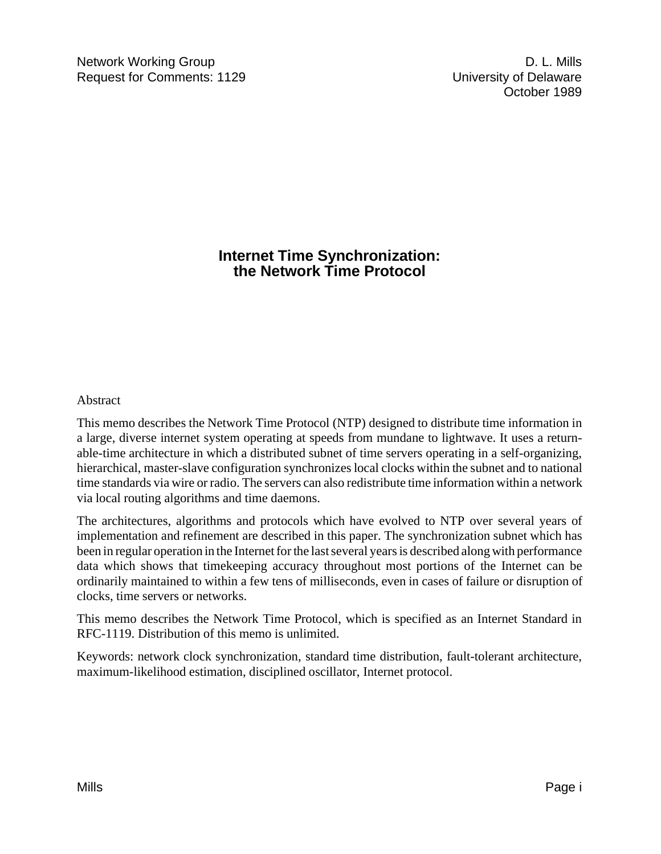## **Internet Time Synchronization: the Network Time Protocol**

## **Abstract**

This memo describes the Network Time Protocol (NTP) designed to distribute time information in a large, diverse internet system operating at speeds from mundane to lightwave. It uses a returnable-time architecture in which a distributed subnet of time servers operating in a self-organizing, hierarchical, master-slave configuration synchronizes local clocks within the subnet and to national time standards via wire or radio. The servers can also redistribute time information within a network via local routing algorithms and time daemons.

The architectures, algorithms and protocols which have evolved to NTP over several years of implementation and refinement are described in this paper. The synchronization subnet which has been in regular operation in the Internet for the last several years is described along with performance data which shows that timekeeping accuracy throughout most portions of the Internet can be ordinarily maintained to within a few tens of milliseconds, even in cases of failure or disruption of clocks, time servers or networks.

This memo describes the Network Time Protocol, which is specified as an Internet Standard in RFC-1119. Distribution of this memo is unlimited.

Keywords: network clock synchronization, standard time distribution, fault-tolerant architecture, maximum-likelihood estimation, disciplined oscillator, Internet protocol.